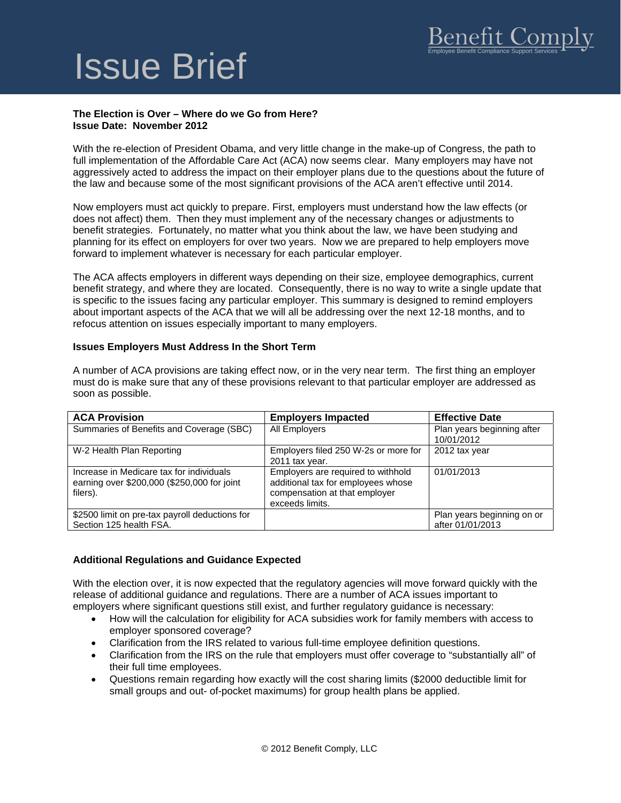# Issue Brief

## **The Election is Over – Where do we Go from Here? Issue Date: November 2012**

With the re-election of President Obama, and very little change in the make-up of Congress, the path to full implementation of the Affordable Care Act (ACA) now seems clear. Many employers may have not aggressively acted to address the impact on their employer plans due to the questions about the future of the law and because some of the most significant provisions of the ACA aren't effective until 2014.

Now employers must act quickly to prepare. First, employers must understand how the law effects (or does not affect) them. Then they must implement any of the necessary changes or adjustments to benefit strategies. Fortunately, no matter what you think about the law, we have been studying and planning for its effect on employers for over two years. Now we are prepared to help employers move forward to implement whatever is necessary for each particular employer.

The ACA affects employers in different ways depending on their size, employee demographics, current benefit strategy, and where they are located. Consequently, there is no way to write a single update that is specific to the issues facing any particular employer. This summary is designed to remind employers about important aspects of the ACA that we will all be addressing over the next 12-18 months, and to refocus attention on issues especially important to many employers.

## **Issues Employers Must Address In the Short Term**

A number of ACA provisions are taking effect now, or in the very near term. The first thing an employer must do is make sure that any of these provisions relevant to that particular employer are addressed as soon as possible.

| <b>ACA Provision</b>                                                                                | <b>Employers Impacted</b>                                                                                                    | <b>Effective Date</b>                          |
|-----------------------------------------------------------------------------------------------------|------------------------------------------------------------------------------------------------------------------------------|------------------------------------------------|
| Summaries of Benefits and Coverage (SBC)                                                            | All Employers                                                                                                                | Plan years beginning after<br>10/01/2012       |
| W-2 Health Plan Reporting                                                                           | Employers filed 250 W-2s or more for<br>2011 tax year.                                                                       | 2012 tax year                                  |
| Increase in Medicare tax for individuals<br>earning over \$200,000 (\$250,000 for joint<br>filers). | Employers are required to withhold<br>additional tax for employees whose<br>compensation at that employer<br>exceeds limits. | 01/01/2013                                     |
| \$2500 limit on pre-tax payroll deductions for<br>Section 125 health FSA.                           |                                                                                                                              | Plan years beginning on or<br>after 01/01/2013 |

## **Additional Regulations and Guidance Expected**

With the election over, it is now expected that the regulatory agencies will move forward quickly with the release of additional guidance and regulations. There are a number of ACA issues important to employers where significant questions still exist, and further regulatory guidance is necessary:

- How will the calculation for eligibility for ACA subsidies work for family members with access to employer sponsored coverage?
- Clarification from the IRS related to various full-time employee definition questions.
- Clarification from the IRS on the rule that employers must offer coverage to "substantially all" of their full time employees.
- Questions remain regarding how exactly will the cost sharing limits (\$2000 deductible limit for small groups and out- of-pocket maximums) for group health plans be applied.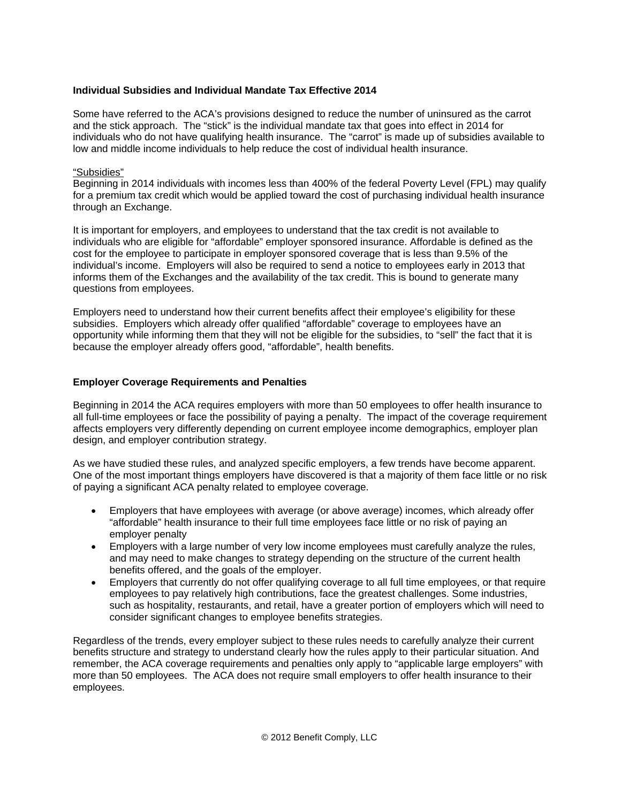## **Individual Subsidies and Individual Mandate Tax Effective 2014**

Some have referred to the ACA's provisions designed to reduce the number of uninsured as the carrot and the stick approach. The "stick" is the individual mandate tax that goes into effect in 2014 for individuals who do not have qualifying health insurance. The "carrot" is made up of subsidies available to low and middle income individuals to help reduce the cost of individual health insurance.

## "Subsidies"

Beginning in 2014 individuals with incomes less than 400% of the federal Poverty Level (FPL) may qualify for a premium tax credit which would be applied toward the cost of purchasing individual health insurance through an Exchange.

It is important for employers, and employees to understand that the tax credit is not available to individuals who are eligible for "affordable" employer sponsored insurance. Affordable is defined as the cost for the employee to participate in employer sponsored coverage that is less than 9.5% of the individual's income. Employers will also be required to send a notice to employees early in 2013 that informs them of the Exchanges and the availability of the tax credit. This is bound to generate many questions from employees.

Employers need to understand how their current benefits affect their employee's eligibility for these subsidies. Employers which already offer qualified "affordable" coverage to employees have an opportunity while informing them that they will not be eligible for the subsidies, to "sell" the fact that it is because the employer already offers good, "affordable", health benefits.

## **Employer Coverage Requirements and Penalties**

Beginning in 2014 the ACA requires employers with more than 50 employees to offer health insurance to all full-time employees or face the possibility of paying a penalty. The impact of the coverage requirement affects employers very differently depending on current employee income demographics, employer plan design, and employer contribution strategy.

As we have studied these rules, and analyzed specific employers, a few trends have become apparent. One of the most important things employers have discovered is that a majority of them face little or no risk of paying a significant ACA penalty related to employee coverage.

- Employers that have employees with average (or above average) incomes, which already offer "affordable" health insurance to their full time employees face little or no risk of paying an employer penalty
- Employers with a large number of very low income employees must carefully analyze the rules, and may need to make changes to strategy depending on the structure of the current health benefits offered, and the goals of the employer.
- Employers that currently do not offer qualifying coverage to all full time employees, or that require employees to pay relatively high contributions, face the greatest challenges. Some industries, such as hospitality, restaurants, and retail, have a greater portion of employers which will need to consider significant changes to employee benefits strategies.

Regardless of the trends, every employer subject to these rules needs to carefully analyze their current benefits structure and strategy to understand clearly how the rules apply to their particular situation. And remember, the ACA coverage requirements and penalties only apply to "applicable large employers" with more than 50 employees. The ACA does not require small employers to offer health insurance to their employees.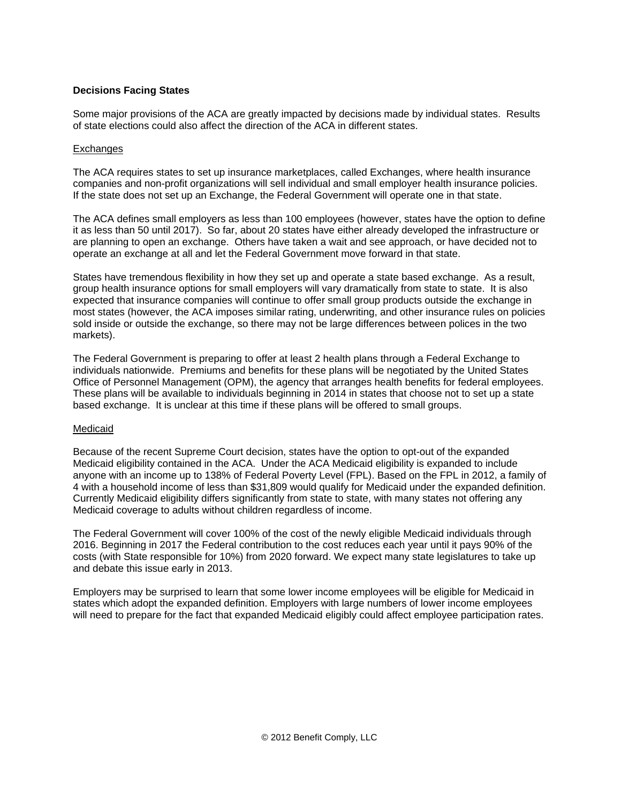## **Decisions Facing States**

Some major provisions of the ACA are greatly impacted by decisions made by individual states. Results of state elections could also affect the direction of the ACA in different states.

## **Exchanges**

The ACA requires states to set up insurance marketplaces, called Exchanges, where health insurance companies and non-profit organizations will sell individual and small employer health insurance policies. If the state does not set up an Exchange, the Federal Government will operate one in that state.

The ACA defines small employers as less than 100 employees (however, states have the option to define it as less than 50 until 2017). So far, about 20 states have either already developed the infrastructure or are planning to open an exchange. Others have taken a wait and see approach, or have decided not to operate an exchange at all and let the Federal Government move forward in that state.

States have tremendous flexibility in how they set up and operate a state based exchange. As a result, group health insurance options for small employers will vary dramatically from state to state. It is also expected that insurance companies will continue to offer small group products outside the exchange in most states (however, the ACA imposes similar rating, underwriting, and other insurance rules on policies sold inside or outside the exchange, so there may not be large differences between polices in the two markets).

The Federal Government is preparing to offer at least 2 health plans through a Federal Exchange to individuals nationwide. Premiums and benefits for these plans will be negotiated by the United States Office of Personnel Management (OPM), the agency that arranges health benefits for federal employees. These plans will be available to individuals beginning in 2014 in states that choose not to set up a state based exchange. It is unclear at this time if these plans will be offered to small groups.

#### Medicaid

Because of the recent Supreme Court decision, states have the option to opt-out of the expanded Medicaid eligibility contained in the ACA. Under the ACA Medicaid eligibility is expanded to include anyone with an income up to 138% of Federal Poverty Level (FPL). Based on the FPL in 2012, a family of 4 with a household income of less than \$31,809 would qualify for Medicaid under the expanded definition. Currently Medicaid eligibility differs significantly from state to state, with many states not offering any Medicaid coverage to adults without children regardless of income.

The Federal Government will cover 100% of the cost of the newly eligible Medicaid individuals through 2016. Beginning in 2017 the Federal contribution to the cost reduces each year until it pays 90% of the costs (with State responsible for 10%) from 2020 forward. We expect many state legislatures to take up and debate this issue early in 2013.

Employers may be surprised to learn that some lower income employees will be eligible for Medicaid in states which adopt the expanded definition. Employers with large numbers of lower income employees will need to prepare for the fact that expanded Medicaid eligibly could affect employee participation rates.